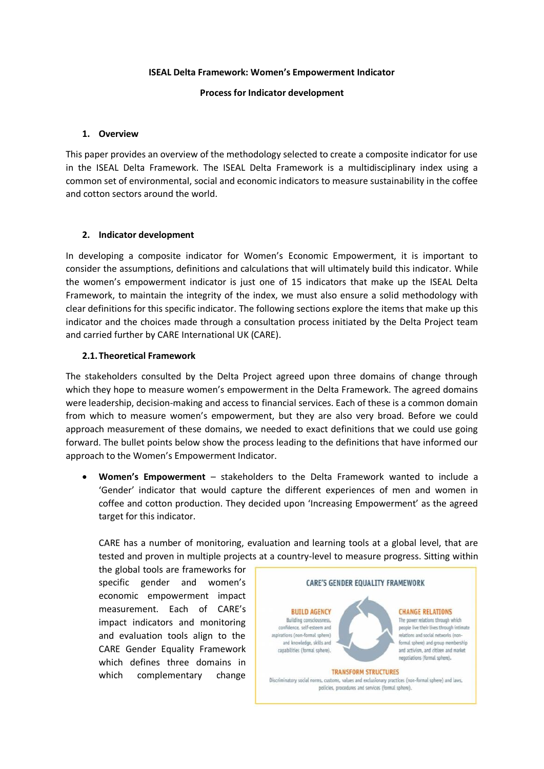#### **ISEAL Delta Framework: Women's Empowerment Indicator**

## **Process for Indicator development**

#### **1. Overview**

This paper provides an overview of the methodology selected to create a composite indicator for use in the ISEAL Delta Framework. The ISEAL Delta Framework is a multidisciplinary index using a common set of environmental, social and economic indicators to measure sustainability in the coffee and cotton sectors around the world.

#### **2. Indicator development**

In developing a composite indicator for Women's Economic Empowerment, it is important to consider the assumptions, definitions and calculations that will ultimately build this indicator. While the women's empowerment indicator is just one of 15 indicators that make up the ISEAL Delta Framework, to maintain the integrity of the index, we must also ensure a solid methodology with clear definitions for this specific indicator. The following sections explore the items that make up this indicator and the choices made through a consultation process initiated by the Delta Project team and carried further by CARE International UK (CARE).

#### **2.1.Theoretical Framework**

The stakeholders consulted by the Delta Project agreed upon three domains of change through which they hope to measure women's empowerment in the Delta Framework. The agreed domains were leadership, decision-making and access to financial services. Each of these is a common domain from which to measure women's empowerment, but they are also very broad. Before we could approach measurement of these domains, we needed to exact definitions that we could use going forward. The bullet points below show the process leading to the definitions that have informed our approach to the Women's Empowerment Indicator.

• **Women's Empowerment** – stakeholders to the Delta Framework wanted to include a 'Gender' indicator that would capture the different experiences of men and women in coffee and cotton production. They decided upon 'Increasing Empowerment' as the agreed target for this indicator.

CARE has a number of monitoring, evaluation and learning tools at a global level, that are tested and proven in multiple projects at a country-level to measure progress. Sitting within

the global tools are frameworks for specific gender and women's economic empowerment impact measurement. Each of CARE's impact indicators and monitoring and evaluation tools align to the CARE Gender Equality Framework which defines three domains in which complementary change

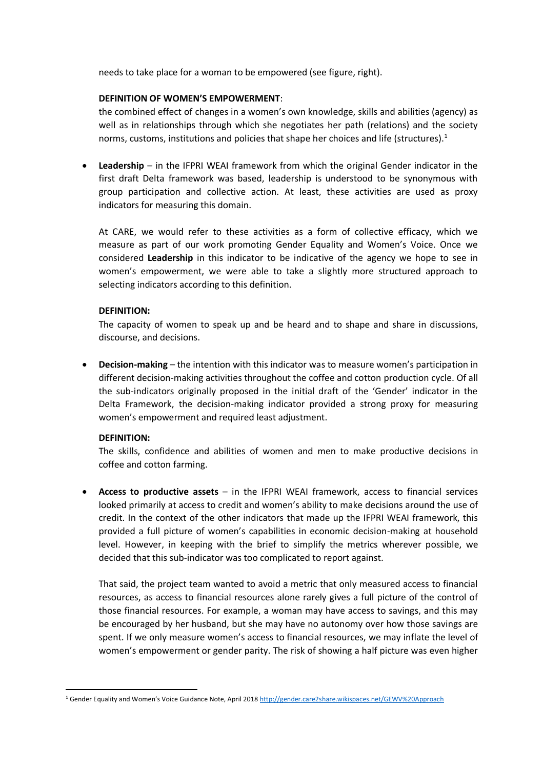needs to take place for a woman to be empowered (see figure, right).

#### **DEFINITION OF WOMEN'S EMPOWERMENT**:

the combined effect of changes in a women's own knowledge, skills and abilities (agency) as well as in relationships through which she negotiates her path (relations) and the society norms, customs, institutions and policies that shape her choices and life (structures). $1$ 

• **Leadership** – in the IFPRI WEAI framework from which the original Gender indicator in the first draft Delta framework was based, leadership is understood to be synonymous with group participation and collective action. At least, these activities are used as proxy indicators for measuring this domain.

At CARE, we would refer to these activities as a form of collective efficacy, which we measure as part of our work promoting Gender Equality and Women's Voice. Once we considered **Leadership** in this indicator to be indicative of the agency we hope to see in women's empowerment, we were able to take a slightly more structured approach to selecting indicators according to this definition.

## **DEFINITION:**

The capacity of women to speak up and be heard and to shape and share in discussions, discourse, and decisions.

• **Decision-making** – the intention with this indicator was to measure women's participation in different decision-making activities throughout the coffee and cotton production cycle. Of all the sub-indicators originally proposed in the initial draft of the 'Gender' indicator in the Delta Framework, the decision-making indicator provided a strong proxy for measuring women's empowerment and required least adjustment.

## **DEFINITION:**

The skills, confidence and abilities of women and men to make productive decisions in coffee and cotton farming.

• **Access to productive assets** – in the IFPRI WEAI framework, access to financial services looked primarily at access to credit and women's ability to make decisions around the use of credit. In the context of the other indicators that made up the IFPRI WEAI framework, this provided a full picture of women's capabilities in economic decision-making at household level. However, in keeping with the brief to simplify the metrics wherever possible, we decided that this sub-indicator was too complicated to report against.

That said, the project team wanted to avoid a metric that only measured access to financial resources, as access to financial resources alone rarely gives a full picture of the control of those financial resources. For example, a woman may have access to savings, and this may be encouraged by her husband, but she may have no autonomy over how those savings are spent. If we only measure women's access to financial resources, we may inflate the level of women's empowerment or gender parity. The risk of showing a half picture was even higher

<sup>1</sup> Gender Equality and Women's Voice Guidance Note, April 2018 <http://gender.care2share.wikispaces.net/GEWV%20Approach>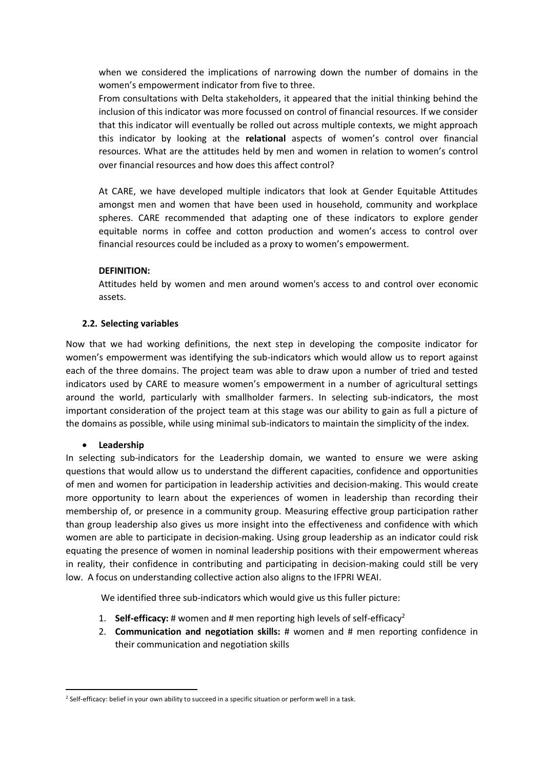when we considered the implications of narrowing down the number of domains in the women's empowerment indicator from five to three.

From consultations with Delta stakeholders, it appeared that the initial thinking behind the inclusion of this indicator was more focussed on control of financial resources. If we consider that this indicator will eventually be rolled out across multiple contexts, we might approach this indicator by looking at the **relational** aspects of women's control over financial resources. What are the attitudes held by men and women in relation to women's control over financial resources and how does this affect control?

At CARE, we have developed multiple indicators that look at Gender Equitable Attitudes amongst men and women that have been used in household, community and workplace spheres. CARE recommended that adapting one of these indicators to explore gender equitable norms in coffee and cotton production and women's access to control over financial resources could be included as a proxy to women's empowerment.

## **DEFINITION:**

Attitudes held by women and men around women's access to and control over economic assets.

## **2.2. Selecting variables**

Now that we had working definitions, the next step in developing the composite indicator for women's empowerment was identifying the sub-indicators which would allow us to report against each of the three domains. The project team was able to draw upon a number of tried and tested indicators used by CARE to measure women's empowerment in a number of agricultural settings around the world, particularly with smallholder farmers. In selecting sub-indicators, the most important consideration of the project team at this stage was our ability to gain as full a picture of the domains as possible, while using minimal sub-indicators to maintain the simplicity of the index.

## • **Leadership**

In selecting sub-indicators for the Leadership domain, we wanted to ensure we were asking questions that would allow us to understand the different capacities, confidence and opportunities of men and women for participation in leadership activities and decision-making. This would create more opportunity to learn about the experiences of women in leadership than recording their membership of, or presence in a community group. Measuring effective group participation rather than group leadership also gives us more insight into the effectiveness and confidence with which women are able to participate in decision-making. Using group leadership as an indicator could risk equating the presence of women in nominal leadership positions with their empowerment whereas in reality, their confidence in contributing and participating in decision-making could still be very low. A focus on understanding collective action also aligns to the IFPRI WEAI.

We identified three sub-indicators which would give us this fuller picture:

- 1. **Self-efficacy:** # women and # men reporting high levels of self-efficacy<sup>2</sup>
- 2. **Communication and negotiation skills:** # women and # men reporting confidence in their communication and negotiation skills

<sup>&</sup>lt;sup>2</sup> Self-efficacy: belief in your own ability to succeed in a specific situation or perform well in a task.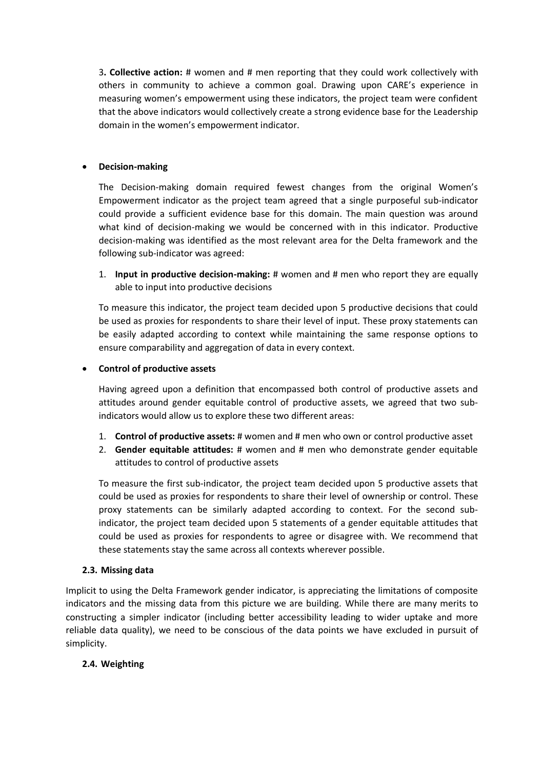3**. Collective action:** # women and # men reporting that they could work collectively with others in community to achieve a common goal. Drawing upon CARE's experience in measuring women's empowerment using these indicators, the project team were confident that the above indicators would collectively create a strong evidence base for the Leadership domain in the women's empowerment indicator.

## • **Decision-making**

The Decision-making domain required fewest changes from the original Women's Empowerment indicator as the project team agreed that a single purposeful sub-indicator could provide a sufficient evidence base for this domain. The main question was around what kind of decision-making we would be concerned with in this indicator. Productive decision-making was identified as the most relevant area for the Delta framework and the following sub-indicator was agreed:

1. **Input in productive decision-making:** # women and # men who report they are equally able to input into productive decisions

To measure this indicator, the project team decided upon 5 productive decisions that could be used as proxies for respondents to share their level of input. These proxy statements can be easily adapted according to context while maintaining the same response options to ensure comparability and aggregation of data in every context.

## • **Control of productive assets**

Having agreed upon a definition that encompassed both control of productive assets and attitudes around gender equitable control of productive assets, we agreed that two subindicators would allow us to explore these two different areas:

- 1. **Control of productive assets:** # women and # men who own or control productive asset
- 2. **Gender equitable attitudes:** # women and # men who demonstrate gender equitable attitudes to control of productive assets

To measure the first sub-indicator, the project team decided upon 5 productive assets that could be used as proxies for respondents to share their level of ownership or control. These proxy statements can be similarly adapted according to context. For the second subindicator, the project team decided upon 5 statements of a gender equitable attitudes that could be used as proxies for respondents to agree or disagree with. We recommend that these statements stay the same across all contexts wherever possible.

## **2.3. Missing data**

Implicit to using the Delta Framework gender indicator, is appreciating the limitations of composite indicators and the missing data from this picture we are building. While there are many merits to constructing a simpler indicator (including better accessibility leading to wider uptake and more reliable data quality), we need to be conscious of the data points we have excluded in pursuit of simplicity.

# **2.4. Weighting**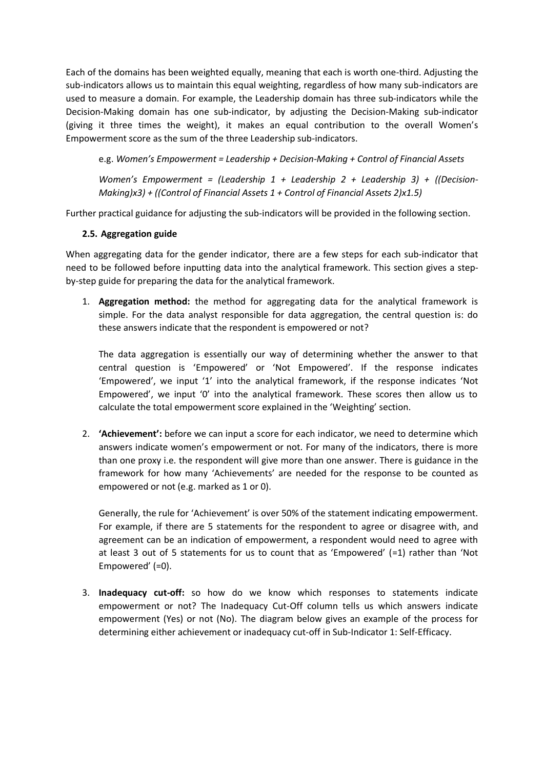Each of the domains has been weighted equally, meaning that each is worth one-third. Adjusting the sub-indicators allows us to maintain this equal weighting, regardless of how many sub-indicators are used to measure a domain. For example, the Leadership domain has three sub-indicators while the Decision-Making domain has one sub-indicator, by adjusting the Decision-Making sub-indicator (giving it three times the weight), it makes an equal contribution to the overall Women's Empowerment score as the sum of the three Leadership sub-indicators.

e.g. *Women's Empowerment = Leadership + Decision-Making + Control of Financial Assets*

*Women's Empowerment = (Leadership 1 + Leadership 2 + Leadership 3) + ((Decision-Making)x3) + ((Control of Financial Assets 1 + Control of Financial Assets 2)x1.5)*

Further practical guidance for adjusting the sub-indicators will be provided in the following section.

# **2.5. Aggregation guide**

When aggregating data for the gender indicator, there are a few steps for each sub-indicator that need to be followed before inputting data into the analytical framework. This section gives a stepby-step guide for preparing the data for the analytical framework.

1. **Aggregation method:** the method for aggregating data for the analytical framework is simple. For the data analyst responsible for data aggregation, the central question is: do these answers indicate that the respondent is empowered or not?

The data aggregation is essentially our way of determining whether the answer to that central question is 'Empowered' or 'Not Empowered'. If the response indicates 'Empowered', we input '1' into the analytical framework, if the response indicates 'Not Empowered', we input '0' into the analytical framework. These scores then allow us to calculate the total empowerment score explained in the 'Weighting' section.

2. **'Achievement':** before we can input a score for each indicator, we need to determine which answers indicate women's empowerment or not. For many of the indicators, there is more than one proxy i.e. the respondent will give more than one answer. There is guidance in the framework for how many 'Achievements' are needed for the response to be counted as empowered or not (e.g. marked as 1 or 0).

Generally, the rule for 'Achievement' is over 50% of the statement indicating empowerment. For example, if there are 5 statements for the respondent to agree or disagree with, and agreement can be an indication of empowerment, a respondent would need to agree with at least 3 out of 5 statements for us to count that as 'Empowered' (=1) rather than 'Not Empowered' (=0).

3. **Inadequacy cut-off:** so how do we know which responses to statements indicate empowerment or not? The Inadequacy Cut-Off column tells us which answers indicate empowerment (Yes) or not (No). The diagram below gives an example of the process for determining either achievement or inadequacy cut-off in Sub-Indicator 1: Self-Efficacy.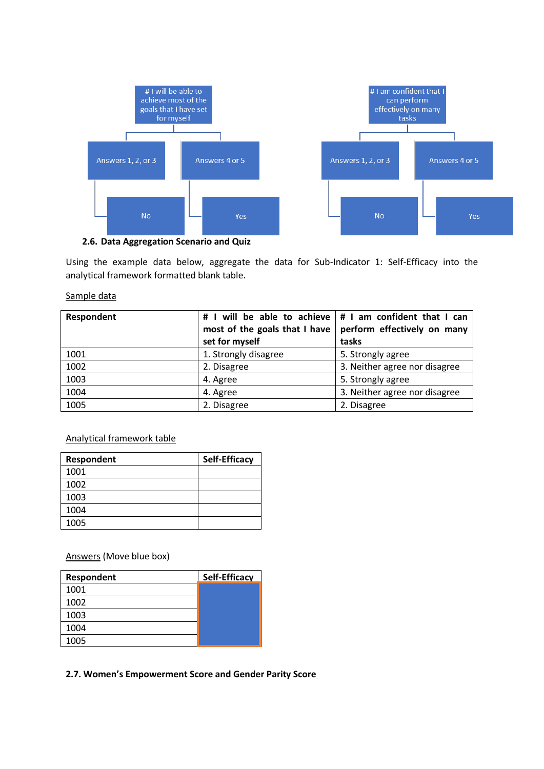

**2.6. Data Aggregation Scenario and Quiz**

Using the example data below, aggregate the data for Sub-Indicator 1: Self-Efficacy into the analytical framework formatted blank table.

## Sample data

| Respondent | # I will be able to achieve $ $ # I am confident that I can |                               |
|------------|-------------------------------------------------------------|-------------------------------|
|            | most of the goals that I have                               | perform effectively on many   |
|            | set for myself                                              | tasks                         |
| 1001       | 1. Strongly disagree                                        | 5. Strongly agree             |
| 1002       | 2. Disagree                                                 | 3. Neither agree nor disagree |
| 1003       | 4. Agree                                                    | 5. Strongly agree             |
| 1004       | 4. Agree                                                    | 3. Neither agree nor disagree |
| 1005       | 2. Disagree                                                 | 2. Disagree                   |

# Analytical framework table

| Respondent | <b>Self-Efficacy</b> |
|------------|----------------------|
| 1001       |                      |
| 1002       |                      |
| 1003       |                      |
| 1004       |                      |
| 1005       |                      |

Answers (Move blue box)

| Respondent | <b>Self-Efficacy</b> |
|------------|----------------------|
| 1001       |                      |
| 1002       |                      |
| 1003       |                      |
| 1004       |                      |
| 1005       |                      |

**2.7. Women's Empowerment Score and Gender Parity Score**